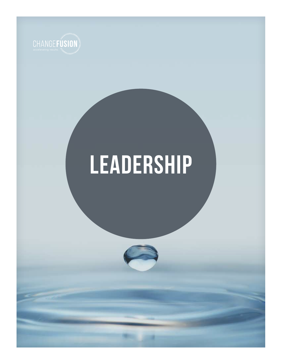

# **leadership**

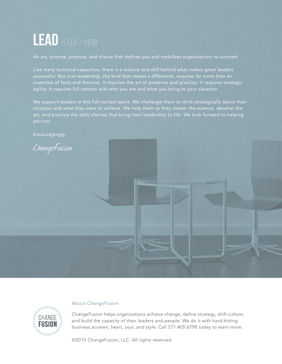### **lead** /leed / verb

*An art, science, practice, and choice that defines you and mobilizes organizations to succeed*

Like many technical capacities, there is a science and skill behind what makes great leaders successful. But true leadership, the kind that makes a difference, requires far more than an expertise of facts and theories. It requires the art of presence and practice. It requires strategic agility. It requires full contact with who you are and what you bring to your situation.

We support leaders in this full-contact sport. We challenge them to think strategically about their situation and what they want to achieve. We help them as they master the science, develop the art, and practice the daily choices that bring their leadership to life. We look forward to helping

Encouragingly,





#### About ChangeFusion

ChangeFusion helps organizations achieve change, define strategy, shift culture, and build the capacity of their leaders and people. We do it with hard-hitting business acumen, heart, soul, and style. Call 571.405.6798 today to learn more.

©2015 ChangeFusion, LLC. All rights reserved.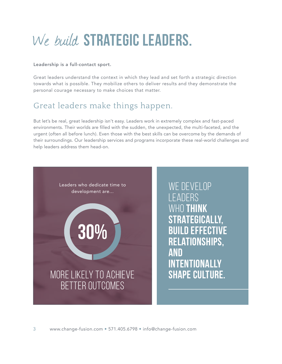### We build **strategic leaders.**

#### Leadership is a full-contact sport.

Great leaders understand the context in which they lead and set forth a strategic direction towards what is possible. They mobilize others to deliver results and they demonstrate the personal courage necessary to make choices that matter.

#### Great leaders make things happen.

But let's be real, great leadership isn't easy. Leaders work in extremely complex and fast-paced environments. Their worlds are filled with the sudden, the unexpected, the multi-faceted, and the urgent (often all before lunch). Even those with the best skills can be overcome by the demands of their surroundings. Our leadership services and programs incorporate these real-world challenges and help leaders address them head-on.

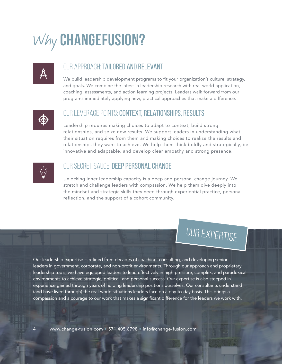### Why **changefusion?**

#### our approach: tailored and relevant

We build leadership development programs to fit your organization's culture, strategy, and goals. We combine the latest in leadership research with real-world application, coaching, assessments, and action learning projects. Leaders walk forward from our programs immediately applying new, practical approaches that make a difference.



#### our leverage points: context, relationships, results

Leadership requires making choices to adapt to context, build strong relationships, and seize new results. We support leaders in understanding what their situation requires from them and making choices to realize the results and relationships they want to achieve. We help them think boldly and strategically, be innovative and adaptable, and develop clear empathy and strong presence.



#### OUR SECRET SAUCE: DEEP PERSONAL CHANGE

Unlocking inner leadership capacity is a deep and personal change journey. We stretch and challenge leaders with compassion. We help them dive deeply into the mindset and strategic skills they need through experiential practice, personal reflection, and the support of a cohort community.

### our expertise

Our leadership expertise is refined from decades of coaching, consulting, and developing senior leaders in government, corporate, and non-profit environments. Through our approach and proprietary leadership tools, we have equipped leaders to lead effectively in high-pressure, complex, and paradoxical environments to achieve strategic, political, and personal success. Our expertise is also steeped in experience gained through years of holding leadership positions ourselves. Our consultants understand (and have lived through) the real-world situations leaders face on a day-to-day basis. This brings a compassion and a courage to our work that makes a significant difference for the leaders we work with.

www.change-fusion.com • 571.405.6798 • info@change-fusion.com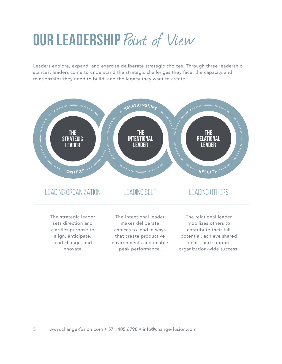### **OUR LEADERSHIP** Point of View

Leaders explore, expand, and exercise deliberate strategic choices. Through three leadership stances, leaders come to understand the strategic challenges they face, the capacity and relationships they need to build, and the legacy they want to create.



align, anticipate, lead change, and innovate.

that create productive environments and enable peak performance.

potential, achieve shared goals, and support organization-wide success.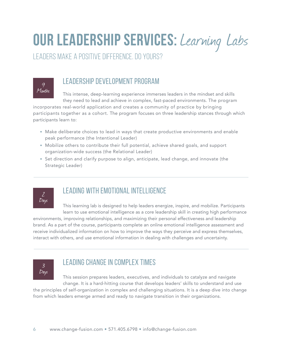### **our leadership services:** Learning Labs

leaders make a positive difference. do yours?

9 Months

#### leadership development program

This intense, deep-learning experience immerses leaders in the mindset and skills they need to lead and achieve in complex, fast-paced environments. The program

incorporates real-world application and creates a community of practice by bringing participants together as a cohort. The program focuses on three leadership stances through which participants learn to:

- Make deliberate choices to lead in ways that create productive environments and enable peak performance (the Intentional Leader)
- Mobilize others to contribute their full potential, achieve shared goals, and support organization-wide success (the Relational Leader)
- Set direction and clarify purpose to align, anticipate, lead change, and innovate (the Strategic Leader)



#### leading with emotional intelligence

This learning lab is designed to help leaders energize, inspire, and mobilize. Participants learn to use emotional intelligence as a core leadership skill in creating high performance environments, improving relationships, and maximizing their personal effectiveness and leadership

brand. As a part of the course, participants complete an online emotional intelligence assessment and receive individualized information on how to improve the ways they perceive and express themselves, interact with others, and use emotional information in dealing with challenges and uncertainty.



#### leading change in complex times

This session prepares leaders, executives, and individuals to catalyze and navigate change. It is a hard-hitting course that develops leaders' skills to understand and use

the principles of self-organization in complex and challenging situations. It is a deep dive into change from which leaders emerge armed and ready to navigate transition in their organizations.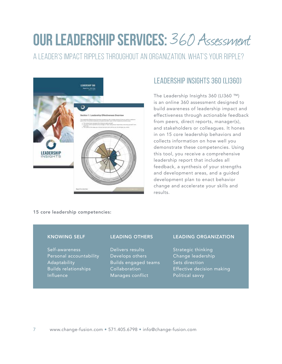### **our leadership services:** 360 Assessment

a leader's impact ripples throughout an organization. What's your ripple?



#### Leadership insights 360 (LI360)

The Leadership Insights 360 (LI360 ™) is an online 360 assessment designed to build awareness of leadership impact and effectiveness through actionable feedback from peers, direct reports, manager(s), and stakeholders or colleagues. It hones in on 15 core leadership behaviors and collects information on how well you demonstrate these competencies. Using this tool, you receive a comprehensive leadership report that includes all feedback, a synthesis of your strengths and development areas, and a guided development plan to enact behavior change and accelerate your skills and results.

15 core leadership competencies:

#### Knowing Self

Self-awareness Personal accountability Adaptability Builds relationships **Influence** 

#### Leading Others

Delivers results Develops others Builds engaged teams Collaboration Manages conflict

#### Leading Organization

Strategic thinking Change leadership Sets direction Effective decision making Political savvy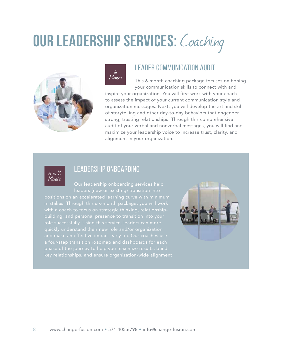### **OUR LEADERSHIP SERVICES: Coaching**





#### leader communication audit

This 6-month coaching package focuses on honing your communication skills to connect with and inspire your organization. You will first work with your coach to assess the impact of your current communication style and organization messages. Next, you will develop the art and skill of storytelling and other day-to-day behaviors that engender strong, trusting relationships. Through this comprehensive audit of your verbal and nonverbal messages, you will find and maximize your leadership voice to increase trust, clarity, and alignment in your organization.



#### Leadership onboarding

leaders (new or existing) transition into mistakes. Through this six-month package, you will work with a coach to focus on strategic thinking, relationshipquickly understand their new role and/or organization phase of the journey to help you maximize results, build key relationships, and ensure organization-wide alignment.

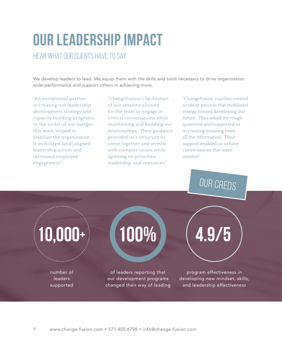### **our leadership IMPACT**

hear what our clients have to say

We develop leaders to lead. We equip them with the skills and tools necessary to drive organizationwide performance and support others in achieving more.

"An exceptional partner in creating our leadership development strategy and capacity building programs. In the midst of our merger, this work helped to stabilize the organization. It mobilized [and] aligned leadership action and increased employee engagement."

"ChangeFusion's facilitation of our sessions allowed for the team to engage in critical conversations while maintaining and building our relationships. Their guidance provided us a structure to come together and wrestle with complex issues while agreeing on priorities, leadership, and resources."

"ChangeFusion coaches created a robust process that mobilized energy toward developing our future. They asked the tough questions and supported us in creating meaning from all the information. Their support enabled us to have conversations that were needed!"

our creds

**10,000+**

number of leaders supported

## 100%

of leaders reporting that our development programs changed their way of leading

program effectiveness in developing new mindset, skills, and leadership effectiveness

**4.9/5**